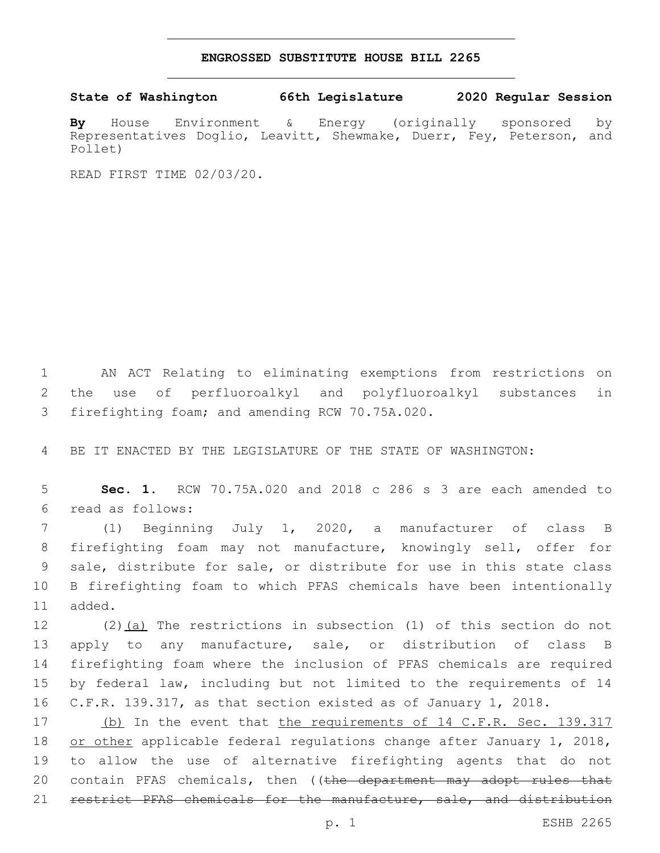## **ENGROSSED SUBSTITUTE HOUSE BILL 2265**

## **State of Washington 66th Legislature 2020 Regular Session**

**By** House Environment & Energy (originally sponsored by Representatives Doglio, Leavitt, Shewmake, Duerr, Fey, Peterson, and Pollet)

READ FIRST TIME 02/03/20.

1 AN ACT Relating to eliminating exemptions from restrictions on 2 the use of perfluoroalkyl and polyfluoroalkyl substances in 3 firefighting foam; and amending RCW 70.75A.020.

4 BE IT ENACTED BY THE LEGISLATURE OF THE STATE OF WASHINGTON:

5 **Sec. 1.** RCW 70.75A.020 and 2018 c 286 s 3 are each amended to read as follows:6

 (1) Beginning July 1, 2020, a manufacturer of class B firefighting foam may not manufacture, knowingly sell, offer for sale, distribute for sale, or distribute for use in this state class B firefighting foam to which PFAS chemicals have been intentionally 11 added.

 (2)(a) The restrictions in subsection (1) of this section do not apply to any manufacture, sale, or distribution of class B firefighting foam where the inclusion of PFAS chemicals are required by federal law, including but not limited to the requirements of 14 C.F.R. 139.317, as that section existed as of January 1, 2018.

17 (b) In the event that the requirements of 14 C.F.R. Sec. 139.317 18 or other applicable federal regulations change after January 1, 2018, 19 to allow the use of alternative firefighting agents that do not 20 contain PFAS chemicals, then ((the department may adopt rules that 21 restrict PFAS chemicals for the manufacture, sale, and distribution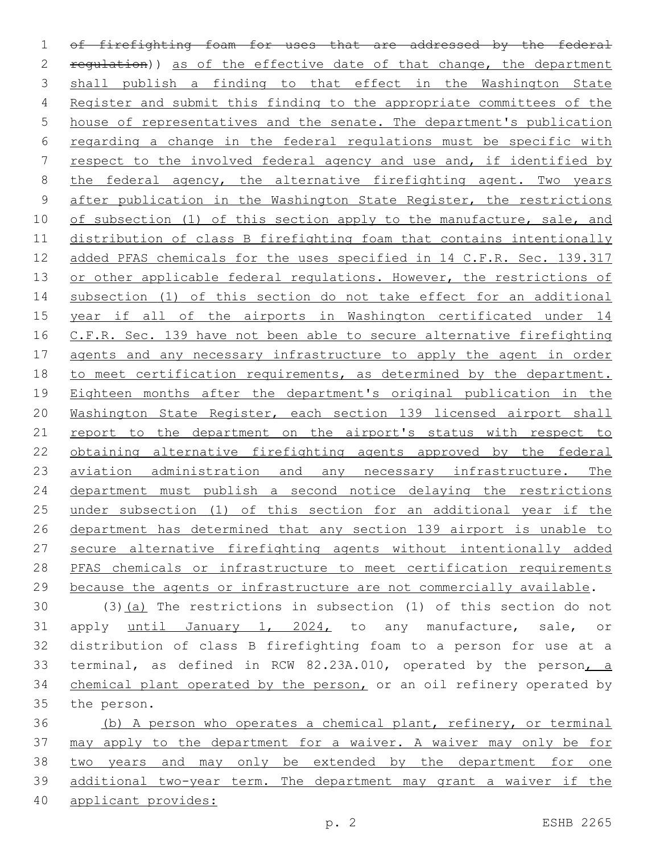of firefighting foam for uses that are addressed by the federal 2 regulation)) as of the effective date of that change, the department shall publish a finding to that effect in the Washington State Register and submit this finding to the appropriate committees of the house of representatives and the senate. The department's publication regarding a change in the federal regulations must be specific with respect to the involved federal agency and use and, if identified by the federal agency, the alternative firefighting agent. Two years after publication in the Washington State Register, the restrictions 10 of subsection (1) of this section apply to the manufacture, sale, and distribution of class B firefighting foam that contains intentionally added PFAS chemicals for the uses specified in 14 C.F.R. Sec. 139.317 13 or other applicable federal regulations. However, the restrictions of subsection (1) of this section do not take effect for an additional year if all of the airports in Washington certificated under 14 16 C.F.R. Sec. 139 have not been able to secure alternative firefighting agents and any necessary infrastructure to apply the agent in order 18 to meet certification requirements, as determined by the department. Eighteen months after the department's original publication in the Washington State Register, each section 139 licensed airport shall 21 report to the department on the airport's status with respect to obtaining alternative firefighting agents approved by the federal 23 aviation administration and any necessary infrastructure. The department must publish a second notice delaying the restrictions under subsection (1) of this section for an additional year if the department has determined that any section 139 airport is unable to secure alternative firefighting agents without intentionally added PFAS chemicals or infrastructure to meet certification requirements because the agents or infrastructure are not commercially available.

 (3)(a) The restrictions in subsection (1) of this section do not apply until January 1, 2024, to any manufacture, sale, or distribution of class B firefighting foam to a person for use at a terminal, as defined in RCW 82.23A.010, operated by the person, a chemical plant operated by the person, or an oil refinery operated by 35 the person.

 (b) A person who operates a chemical plant, refinery, or terminal 37 may apply to the department for a waiver. A waiver may only be for two years and may only be extended by the department for one additional two-year term. The department may grant a waiver if the applicant provides: